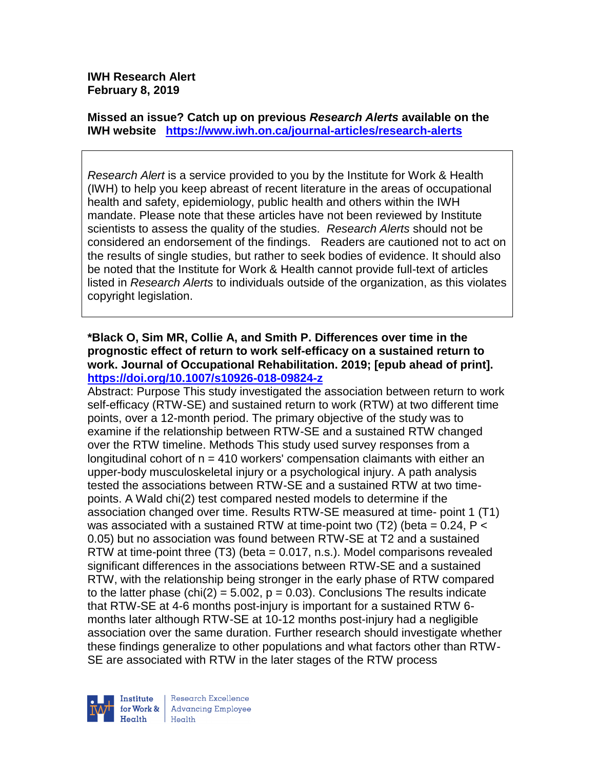**IWH Research Alert February 8, 2019**

**Missed an issue? Catch up on previous** *Research Alerts* **available on the [IWH website](http://www.iwh.on.ca/research-alerts) <https://www.iwh.on.ca/journal-articles/research-alerts>**

*Research Alert* is a service provided to you by the Institute for Work & Health (IWH) to help you keep abreast of recent literature in the areas of occupational health and safety, epidemiology, public health and others within the IWH mandate. Please note that these articles have not been reviewed by Institute scientists to assess the quality of the studies. *Research Alerts* should not be considered an endorsement of the findings. Readers are cautioned not to act on the results of single studies, but rather to seek bodies of evidence. It should also be noted that the Institute for Work & Health cannot provide full-text of articles listed in *Research Alerts* to individuals outside of the organization, as this violates copyright legislation.

### **\*Black O, Sim MR, Collie A, and Smith P. Differences over time in the prognostic effect of return to work self-efficacy on a sustained return to work. Journal of Occupational Rehabilitation. 2019; [epub ahead of print]. <https://doi.org/10.1007/s10926-018-09824-z>**

Abstract: Purpose This study investigated the association between return to work self-efficacy (RTW-SE) and sustained return to work (RTW) at two different time points, over a 12-month period. The primary objective of the study was to examine if the relationship between RTW-SE and a sustained RTW changed over the RTW timeline. Methods This study used survey responses from a longitudinal cohort of  $n = 410$  workers' compensation claimants with either an upper-body musculoskeletal injury or a psychological injury. A path analysis tested the associations between RTW-SE and a sustained RTW at two timepoints. A Wald chi(2) test compared nested models to determine if the association changed over time. Results RTW-SE measured at time- point 1 (T1) was associated with a sustained RTW at time-point two  $(T2)$  (beta = 0.24, P  $\lt$ 0.05) but no association was found between RTW-SE at T2 and a sustained RTW at time-point three (T3) (beta = 0.017, n.s.). Model comparisons revealed significant differences in the associations between RTW-SE and a sustained RTW, with the relationship being stronger in the early phase of RTW compared to the latter phase (chi(2) =  $5.002$ , p = 0.03). Conclusions The results indicate that RTW-SE at 4-6 months post-injury is important for a sustained RTW 6 months later although RTW-SE at 10-12 months post-injury had a negligible association over the same duration. Further research should investigate whether these findings generalize to other populations and what factors other than RTW-SE are associated with RTW in the later stages of the RTW process



Research Excellence **Advancing Employee** Health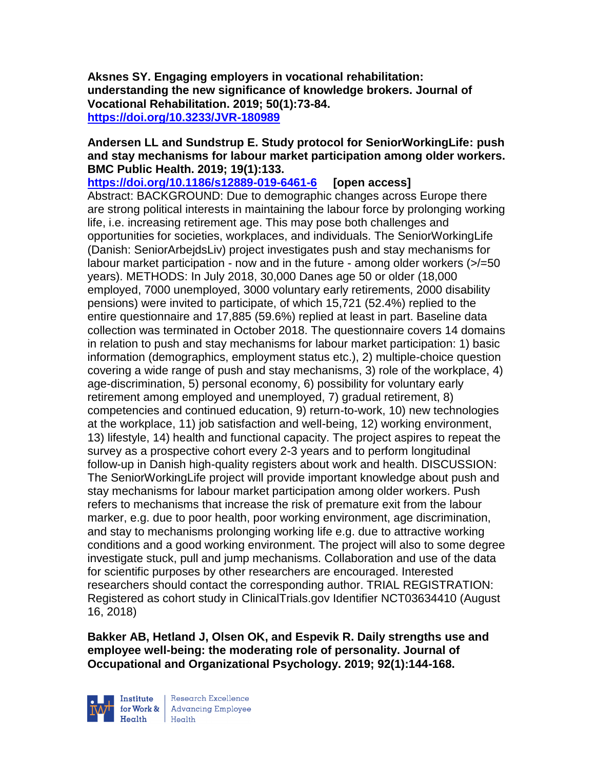**Aksnes SY. Engaging employers in vocational rehabilitation: understanding the new significance of knowledge brokers. Journal of Vocational Rehabilitation. 2019; 50(1):73-84. <https://doi.org/10.3233/JVR-180989>** 

#### **Andersen LL and Sundstrup E. Study protocol for SeniorWorkingLife: push and stay mechanisms for labour market participation among older workers. BMC Public Health. 2019; 19(1):133.**

**<https://doi.org/10.1186/s12889-019-6461-6> [open access]** Abstract: BACKGROUND: Due to demographic changes across Europe there are strong political interests in maintaining the labour force by prolonging working life, i.e. increasing retirement age. This may pose both challenges and opportunities for societies, workplaces, and individuals. The SeniorWorkingLife (Danish: SeniorArbejdsLiv) project investigates push and stay mechanisms for labour market participation - now and in the future - among older workers (>/=50 years). METHODS: In July 2018, 30,000 Danes age 50 or older (18,000 employed, 7000 unemployed, 3000 voluntary early retirements, 2000 disability pensions) were invited to participate, of which 15,721 (52.4%) replied to the entire questionnaire and 17,885 (59.6%) replied at least in part. Baseline data collection was terminated in October 2018. The questionnaire covers 14 domains in relation to push and stay mechanisms for labour market participation: 1) basic information (demographics, employment status etc.), 2) multiple-choice question covering a wide range of push and stay mechanisms, 3) role of the workplace, 4) age-discrimination, 5) personal economy, 6) possibility for voluntary early retirement among employed and unemployed, 7) gradual retirement, 8) competencies and continued education, 9) return-to-work, 10) new technologies at the workplace, 11) job satisfaction and well-being, 12) working environment, 13) lifestyle, 14) health and functional capacity. The project aspires to repeat the survey as a prospective cohort every 2-3 years and to perform longitudinal follow-up in Danish high-quality registers about work and health. DISCUSSION: The SeniorWorkingLife project will provide important knowledge about push and stay mechanisms for labour market participation among older workers. Push refers to mechanisms that increase the risk of premature exit from the labour marker, e.g. due to poor health, poor working environment, age discrimination, and stay to mechanisms prolonging working life e.g. due to attractive working conditions and a good working environment. The project will also to some degree investigate stuck, pull and jump mechanisms. Collaboration and use of the data for scientific purposes by other researchers are encouraged. Interested researchers should contact the corresponding author. TRIAL REGISTRATION: Registered as cohort study in ClinicalTrials.gov Identifier NCT03634410 (August 16, 2018)

**Bakker AB, Hetland J, Olsen OK, and Espevik R. Daily strengths use and employee well-being: the moderating role of personality. Journal of Occupational and Organizational Psychology. 2019; 92(1):144-168.** 

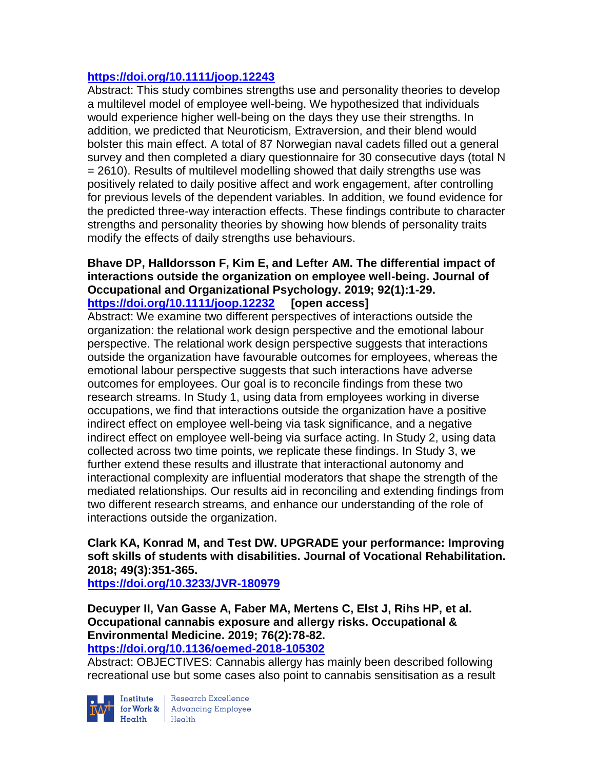### **<https://doi.org/10.1111/joop.12243>**

Abstract: This study combines strengths use and personality theories to develop a multilevel model of employee well-being. We hypothesized that individuals would experience higher well-being on the days they use their strengths. In addition, we predicted that Neuroticism, Extraversion, and their blend would bolster this main effect. A total of 87 Norwegian naval cadets filled out a general survey and then completed a diary questionnaire for 30 consecutive days (total N = 2610). Results of multilevel modelling showed that daily strengths use was positively related to daily positive affect and work engagement, after controlling for previous levels of the dependent variables. In addition, we found evidence for the predicted three-way interaction effects. These findings contribute to character strengths and personality theories by showing how blends of personality traits modify the effects of daily strengths use behaviours.

## **Bhave DP, Halldorsson F, Kim E, and Lefter AM. The differential impact of interactions outside the organization on employee well-being. Journal of Occupational and Organizational Psychology. 2019; 92(1):1-29.**

**<https://doi.org/10.1111/joop.12232> [open access]**

Abstract: We examine two different perspectives of interactions outside the organization: the relational work design perspective and the emotional labour perspective. The relational work design perspective suggests that interactions outside the organization have favourable outcomes for employees, whereas the emotional labour perspective suggests that such interactions have adverse outcomes for employees. Our goal is to reconcile findings from these two research streams. In Study 1, using data from employees working in diverse occupations, we find that interactions outside the organization have a positive indirect effect on employee well-being via task significance, and a negative indirect effect on employee well-being via surface acting. In Study 2, using data collected across two time points, we replicate these findings. In Study 3, we further extend these results and illustrate that interactional autonomy and interactional complexity are influential moderators that shape the strength of the mediated relationships. Our results aid in reconciling and extending findings from two different research streams, and enhance our understanding of the role of interactions outside the organization.

## **Clark KA, Konrad M, and Test DW. UPGRADE your performance: Improving soft skills of students with disabilities. Journal of Vocational Rehabilitation. 2018; 49(3):351-365.**

**<https://doi.org/10.3233/JVR-180979>** 

## **Decuyper II, Van Gasse A, Faber MA, Mertens C, Elst J, Rihs HP, et al. Occupational cannabis exposure and allergy risks. Occupational & Environmental Medicine. 2019; 76(2):78-82.**

**<https://doi.org/10.1136/oemed-2018-105302>** 

Abstract: OBJECTIVES: Cannabis allergy has mainly been described following recreational use but some cases also point to cannabis sensitisation as a result



**Institute** Research Excellence<br> **for Work &** Advancing Employee<br> **Health** Health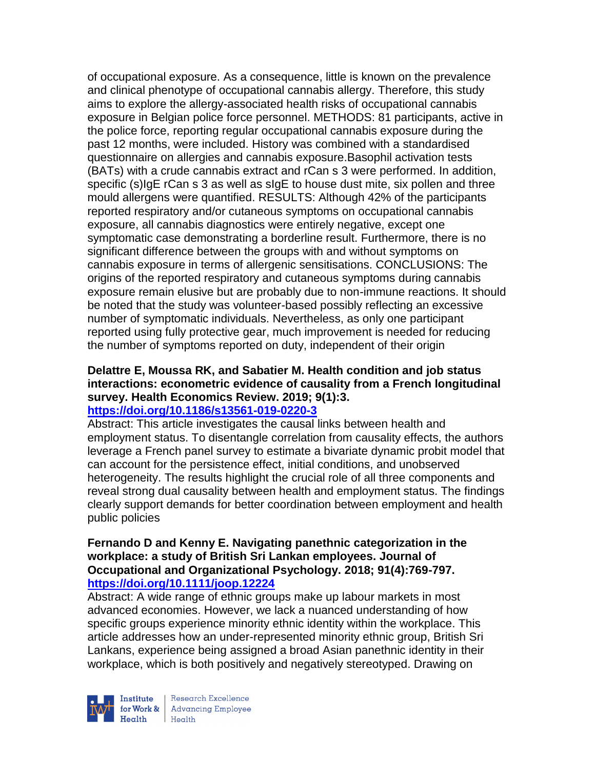of occupational exposure. As a consequence, little is known on the prevalence and clinical phenotype of occupational cannabis allergy. Therefore, this study aims to explore the allergy-associated health risks of occupational cannabis exposure in Belgian police force personnel. METHODS: 81 participants, active in the police force, reporting regular occupational cannabis exposure during the past 12 months, were included. History was combined with a standardised questionnaire on allergies and cannabis exposure.Basophil activation tests (BATs) with a crude cannabis extract and rCan s 3 were performed. In addition, specific (s)IgE rCan s 3 as well as sIgE to house dust mite, six pollen and three mould allergens were quantified. RESULTS: Although 42% of the participants reported respiratory and/or cutaneous symptoms on occupational cannabis exposure, all cannabis diagnostics were entirely negative, except one symptomatic case demonstrating a borderline result. Furthermore, there is no significant difference between the groups with and without symptoms on cannabis exposure in terms of allergenic sensitisations. CONCLUSIONS: The origins of the reported respiratory and cutaneous symptoms during cannabis exposure remain elusive but are probably due to non-immune reactions. It should be noted that the study was volunteer-based possibly reflecting an excessive number of symptomatic individuals. Nevertheless, as only one participant reported using fully protective gear, much improvement is needed for reducing the number of symptoms reported on duty, independent of their origin

# **Delattre E, Moussa RK, and Sabatier M. Health condition and job status interactions: econometric evidence of causality from a French longitudinal survey. Health Economics Review. 2019; 9(1):3.**

#### **<https://doi.org/10.1186/s13561-019-0220-3>**

Abstract: This article investigates the causal links between health and employment status. To disentangle correlation from causality effects, the authors leverage a French panel survey to estimate a bivariate dynamic probit model that can account for the persistence effect, initial conditions, and unobserved heterogeneity. The results highlight the crucial role of all three components and reveal strong dual causality between health and employment status. The findings clearly support demands for better coordination between employment and health public policies

#### **Fernando D and Kenny E. Navigating panethnic categorization in the workplace: a study of British Sri Lankan employees. Journal of Occupational and Organizational Psychology. 2018; 91(4):769-797. <https://doi.org/10.1111/joop.12224>**

Abstract: A wide range of ethnic groups make up labour markets in most advanced economies. However, we lack a nuanced understanding of how specific groups experience minority ethnic identity within the workplace. This article addresses how an under-represented minority ethnic group, British Sri Lankans, experience being assigned a broad Asian panethnic identity in their workplace, which is both positively and negatively stereotyped. Drawing on



Research Excellence Finantium<br>
for Work & Advancing Employee<br>
Health Health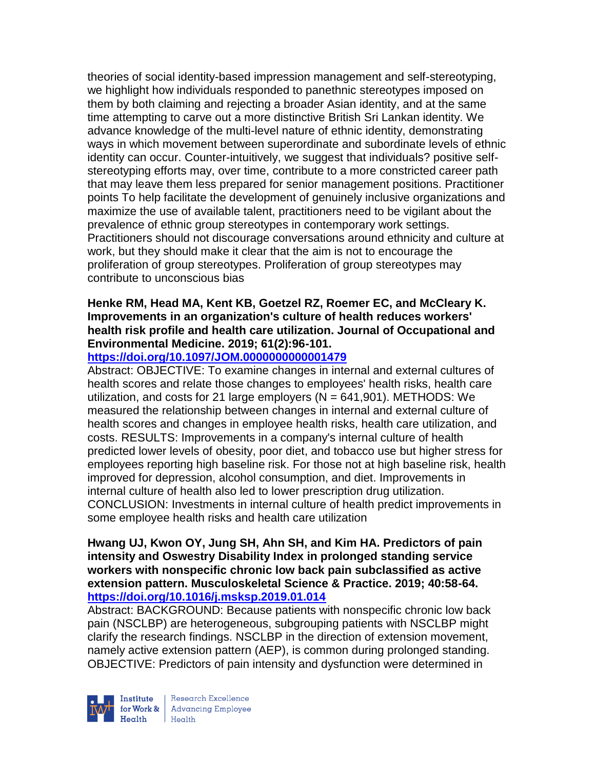theories of social identity-based impression management and self-stereotyping, we highlight how individuals responded to panethnic stereotypes imposed on them by both claiming and rejecting a broader Asian identity, and at the same time attempting to carve out a more distinctive British Sri Lankan identity. We advance knowledge of the multi-level nature of ethnic identity, demonstrating ways in which movement between superordinate and subordinate levels of ethnic identity can occur. Counter-intuitively, we suggest that individuals? positive selfstereotyping efforts may, over time, contribute to a more constricted career path that may leave them less prepared for senior management positions. Practitioner points To help facilitate the development of genuinely inclusive organizations and maximize the use of available talent, practitioners need to be vigilant about the prevalence of ethnic group stereotypes in contemporary work settings. Practitioners should not discourage conversations around ethnicity and culture at work, but they should make it clear that the aim is not to encourage the proliferation of group stereotypes. Proliferation of group stereotypes may contribute to unconscious bias

### **Henke RM, Head MA, Kent KB, Goetzel RZ, Roemer EC, and McCleary K. Improvements in an organization's culture of health reduces workers' health risk profile and health care utilization. Journal of Occupational and Environmental Medicine. 2019; 61(2):96-101.**

## **<https://doi.org/10.1097/JOM.0000000000001479>**

Abstract: OBJECTIVE: To examine changes in internal and external cultures of health scores and relate those changes to employees' health risks, health care utilization, and costs for 21 large employers  $(N = 641,901)$ . METHODS: We measured the relationship between changes in internal and external culture of health scores and changes in employee health risks, health care utilization, and costs. RESULTS: Improvements in a company's internal culture of health predicted lower levels of obesity, poor diet, and tobacco use but higher stress for employees reporting high baseline risk. For those not at high baseline risk, health improved for depression, alcohol consumption, and diet. Improvements in internal culture of health also led to lower prescription drug utilization. CONCLUSION: Investments in internal culture of health predict improvements in some employee health risks and health care utilization

#### **Hwang UJ, Kwon OY, Jung SH, Ahn SH, and Kim HA. Predictors of pain intensity and Oswestry Disability Index in prolonged standing service workers with nonspecific chronic low back pain subclassified as active extension pattern. Musculoskeletal Science & Practice. 2019; 40:58-64. <https://doi.org/10.1016/j.msksp.2019.01.014>**

Abstract: BACKGROUND: Because patients with nonspecific chronic low back pain (NSCLBP) are heterogeneous, subgrouping patients with NSCLBP might clarify the research findings. NSCLBP in the direction of extension movement, namely active extension pattern (AEP), is common during prolonged standing. OBJECTIVE: Predictors of pain intensity and dysfunction were determined in

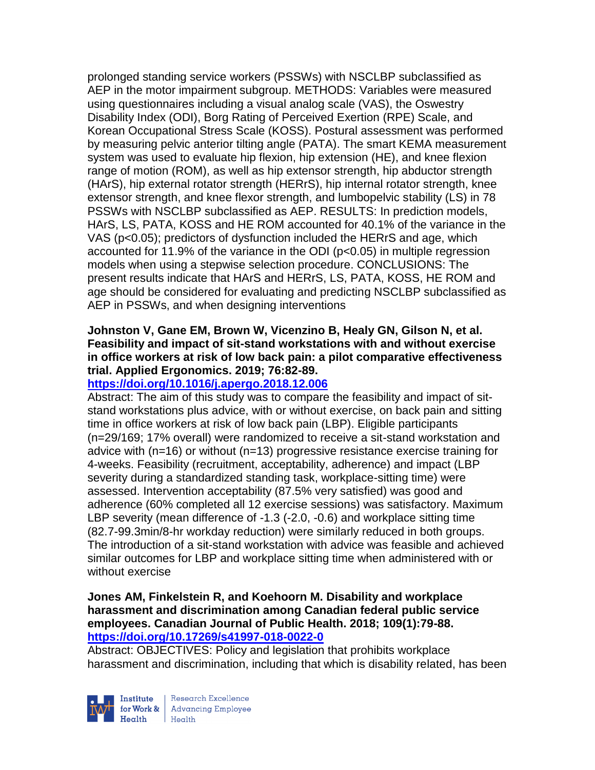prolonged standing service workers (PSSWs) with NSCLBP subclassified as AEP in the motor impairment subgroup. METHODS: Variables were measured using questionnaires including a visual analog scale (VAS), the Oswestry Disability Index (ODI), Borg Rating of Perceived Exertion (RPE) Scale, and Korean Occupational Stress Scale (KOSS). Postural assessment was performed by measuring pelvic anterior tilting angle (PATA). The smart KEMA measurement system was used to evaluate hip flexion, hip extension (HE), and knee flexion range of motion (ROM), as well as hip extensor strength, hip abductor strength (HArS), hip external rotator strength (HERrS), hip internal rotator strength, knee extensor strength, and knee flexor strength, and lumbopelvic stability (LS) in 78 PSSWs with NSCLBP subclassified as AEP. RESULTS: In prediction models, HArS, LS, PATA, KOSS and HE ROM accounted for 40.1% of the variance in the VAS (p<0.05); predictors of dysfunction included the HERrS and age, which accounted for 11.9% of the variance in the ODI (p<0.05) in multiple regression models when using a stepwise selection procedure. CONCLUSIONS: The present results indicate that HArS and HERrS, LS, PATA, KOSS, HE ROM and age should be considered for evaluating and predicting NSCLBP subclassified as AEP in PSSWs, and when designing interventions

### **Johnston V, Gane EM, Brown W, Vicenzino B, Healy GN, Gilson N, et al. Feasibility and impact of sit-stand workstations with and without exercise in office workers at risk of low back pain: a pilot comparative effectiveness trial. Applied Ergonomics. 2019; 76:82-89.**

#### **<https://doi.org/10.1016/j.apergo.2018.12.006>**

Abstract: The aim of this study was to compare the feasibility and impact of sitstand workstations plus advice, with or without exercise, on back pain and sitting time in office workers at risk of low back pain (LBP). Eligible participants (n=29/169; 17% overall) were randomized to receive a sit-stand workstation and advice with (n=16) or without (n=13) progressive resistance exercise training for 4-weeks. Feasibility (recruitment, acceptability, adherence) and impact (LBP severity during a standardized standing task, workplace-sitting time) were assessed. Intervention acceptability (87.5% very satisfied) was good and adherence (60% completed all 12 exercise sessions) was satisfactory. Maximum LBP severity (mean difference of -1.3 (-2.0, -0.6) and workplace sitting time (82.7-99.3min/8-hr workday reduction) were similarly reduced in both groups. The introduction of a sit-stand workstation with advice was feasible and achieved similar outcomes for LBP and workplace sitting time when administered with or without exercise

#### **Jones AM, Finkelstein R, and Koehoorn M. Disability and workplace harassment and discrimination among Canadian federal public service employees. Canadian Journal of Public Health. 2018; 109(1):79-88. <https://doi.org/10.17269/s41997-018-0022-0>**

Abstract: OBJECTIVES: Policy and legislation that prohibits workplace harassment and discrimination, including that which is disability related, has been

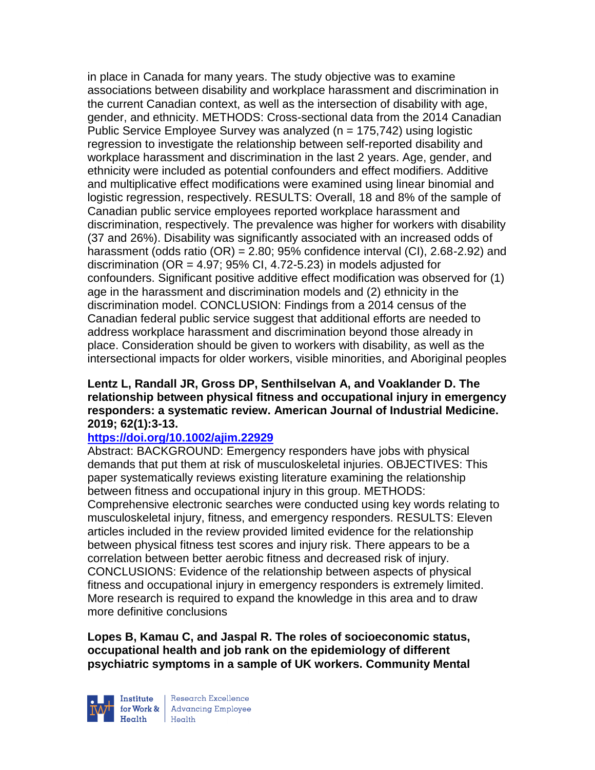in place in Canada for many years. The study objective was to examine associations between disability and workplace harassment and discrimination in the current Canadian context, as well as the intersection of disability with age, gender, and ethnicity. METHODS: Cross-sectional data from the 2014 Canadian Public Service Employee Survey was analyzed ( $n = 175,742$ ) using logistic regression to investigate the relationship between self-reported disability and workplace harassment and discrimination in the last 2 years. Age, gender, and ethnicity were included as potential confounders and effect modifiers. Additive and multiplicative effect modifications were examined using linear binomial and logistic regression, respectively. RESULTS: Overall, 18 and 8% of the sample of Canadian public service employees reported workplace harassment and discrimination, respectively. The prevalence was higher for workers with disability (37 and 26%). Disability was significantly associated with an increased odds of harassment (odds ratio  $(OR) = 2.80$ ; 95% confidence interval  $(Cl)$ , 2.68-2.92) and discrimination ( $OR = 4.97$ ; 95% CI, 4.72-5.23) in models adjusted for confounders. Significant positive additive effect modification was observed for (1) age in the harassment and discrimination models and (2) ethnicity in the discrimination model. CONCLUSION: Findings from a 2014 census of the Canadian federal public service suggest that additional efforts are needed to address workplace harassment and discrimination beyond those already in place. Consideration should be given to workers with disability, as well as the intersectional impacts for older workers, visible minorities, and Aboriginal peoples

#### **Lentz L, Randall JR, Gross DP, Senthilselvan A, and Voaklander D. The relationship between physical fitness and occupational injury in emergency responders: a systematic review. American Journal of Industrial Medicine. 2019; 62(1):3-13.**

#### **<https://doi.org/10.1002/ajim.22929>**

Abstract: BACKGROUND: Emergency responders have jobs with physical demands that put them at risk of musculoskeletal injuries. OBJECTIVES: This paper systematically reviews existing literature examining the relationship between fitness and occupational injury in this group. METHODS: Comprehensive electronic searches were conducted using key words relating to musculoskeletal injury, fitness, and emergency responders. RESULTS: Eleven articles included in the review provided limited evidence for the relationship between physical fitness test scores and injury risk. There appears to be a correlation between better aerobic fitness and decreased risk of injury. CONCLUSIONS: Evidence of the relationship between aspects of physical fitness and occupational injury in emergency responders is extremely limited. More research is required to expand the knowledge in this area and to draw more definitive conclusions

**Lopes B, Kamau C, and Jaspal R. The roles of socioeconomic status, occupational health and job rank on the epidemiology of different psychiatric symptoms in a sample of UK workers. Community Mental** 

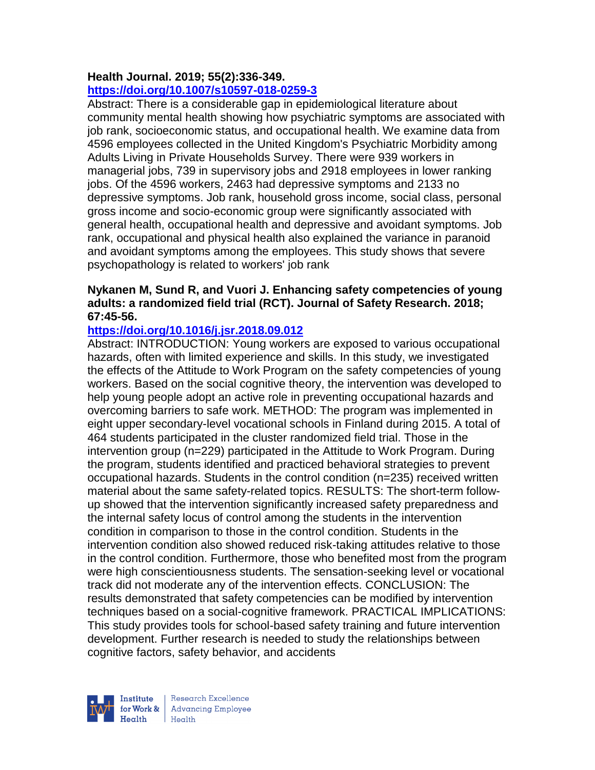#### **Health Journal. 2019; 55(2):336-349. <https://doi.org/10.1007/s10597-018-0259-3>**

Abstract: There is a considerable gap in epidemiological literature about community mental health showing how psychiatric symptoms are associated with job rank, socioeconomic status, and occupational health. We examine data from 4596 employees collected in the United Kingdom's Psychiatric Morbidity among Adults Living in Private Households Survey. There were 939 workers in managerial jobs, 739 in supervisory jobs and 2918 employees in lower ranking jobs. Of the 4596 workers, 2463 had depressive symptoms and 2133 no depressive symptoms. Job rank, household gross income, social class, personal gross income and socio-economic group were significantly associated with general health, occupational health and depressive and avoidant symptoms. Job rank, occupational and physical health also explained the variance in paranoid and avoidant symptoms among the employees. This study shows that severe psychopathology is related to workers' job rank

### **Nykanen M, Sund R, and Vuori J. Enhancing safety competencies of young adults: a randomized field trial (RCT). Journal of Safety Research. 2018; 67:45-56.**

## **<https://doi.org/10.1016/j.jsr.2018.09.012>**

Abstract: INTRODUCTION: Young workers are exposed to various occupational hazards, often with limited experience and skills. In this study, we investigated the effects of the Attitude to Work Program on the safety competencies of young workers. Based on the social cognitive theory, the intervention was developed to help young people adopt an active role in preventing occupational hazards and overcoming barriers to safe work. METHOD: The program was implemented in eight upper secondary-level vocational schools in Finland during 2015. A total of 464 students participated in the cluster randomized field trial. Those in the intervention group (n=229) participated in the Attitude to Work Program. During the program, students identified and practiced behavioral strategies to prevent occupational hazards. Students in the control condition (n=235) received written material about the same safety-related topics. RESULTS: The short-term followup showed that the intervention significantly increased safety preparedness and the internal safety locus of control among the students in the intervention condition in comparison to those in the control condition. Students in the intervention condition also showed reduced risk-taking attitudes relative to those in the control condition. Furthermore, those who benefited most from the program were high conscientiousness students. The sensation-seeking level or vocational track did not moderate any of the intervention effects. CONCLUSION: The results demonstrated that safety competencies can be modified by intervention techniques based on a social-cognitive framework. PRACTICAL IMPLICATIONS: This study provides tools for school-based safety training and future intervention development. Further research is needed to study the relationships between cognitive factors, safety behavior, and accidents

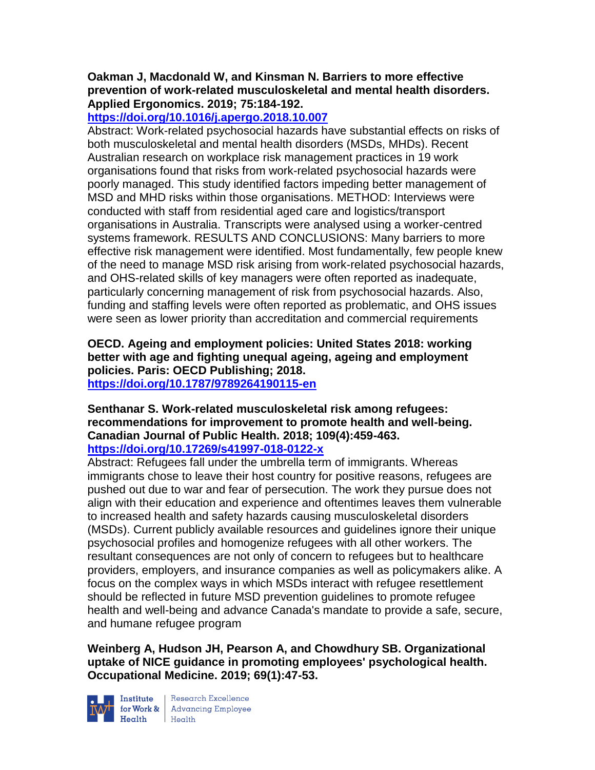### **Oakman J, Macdonald W, and Kinsman N. Barriers to more effective prevention of work-related musculoskeletal and mental health disorders. Applied Ergonomics. 2019; 75:184-192.**

### **<https://doi.org/10.1016/j.apergo.2018.10.007>**

Abstract: Work-related psychosocial hazards have substantial effects on risks of both musculoskeletal and mental health disorders (MSDs, MHDs). Recent Australian research on workplace risk management practices in 19 work organisations found that risks from work-related psychosocial hazards were poorly managed. This study identified factors impeding better management of MSD and MHD risks within those organisations. METHOD: Interviews were conducted with staff from residential aged care and logistics/transport organisations in Australia. Transcripts were analysed using a worker-centred systems framework. RESULTS AND CONCLUSIONS: Many barriers to more effective risk management were identified. Most fundamentally, few people knew of the need to manage MSD risk arising from work-related psychosocial hazards, and OHS-related skills of key managers were often reported as inadequate, particularly concerning management of risk from psychosocial hazards. Also, funding and staffing levels were often reported as problematic, and OHS issues were seen as lower priority than accreditation and commercial requirements

**OECD. Ageing and employment policies: United States 2018: working better with age and fighting unequal ageing, ageing and employment policies. Paris: OECD Publishing; 2018. <https://doi.org/10.1787/9789264190115-en>**

#### **Senthanar S. Work-related musculoskeletal risk among refugees: recommendations for improvement to promote health and well-being. Canadian Journal of Public Health. 2018; 109(4):459-463. <https://doi.org/10.17269/s41997-018-0122-x>**

Abstract: Refugees fall under the umbrella term of immigrants. Whereas immigrants chose to leave their host country for positive reasons, refugees are pushed out due to war and fear of persecution. The work they pursue does not align with their education and experience and oftentimes leaves them vulnerable to increased health and safety hazards causing musculoskeletal disorders (MSDs). Current publicly available resources and guidelines ignore their unique psychosocial profiles and homogenize refugees with all other workers. The resultant consequences are not only of concern to refugees but to healthcare providers, employers, and insurance companies as well as policymakers alike. A focus on the complex ways in which MSDs interact with refugee resettlement should be reflected in future MSD prevention guidelines to promote refugee health and well-being and advance Canada's mandate to provide a safe, secure, and humane refugee program

**Weinberg A, Hudson JH, Pearson A, and Chowdhury SB. Organizational uptake of NICE guidance in promoting employees' psychological health. Occupational Medicine. 2019; 69(1):47-53.** 



**Institute** Research Excellence<br> **for Work &** Advancing Employee<br> **Health** Health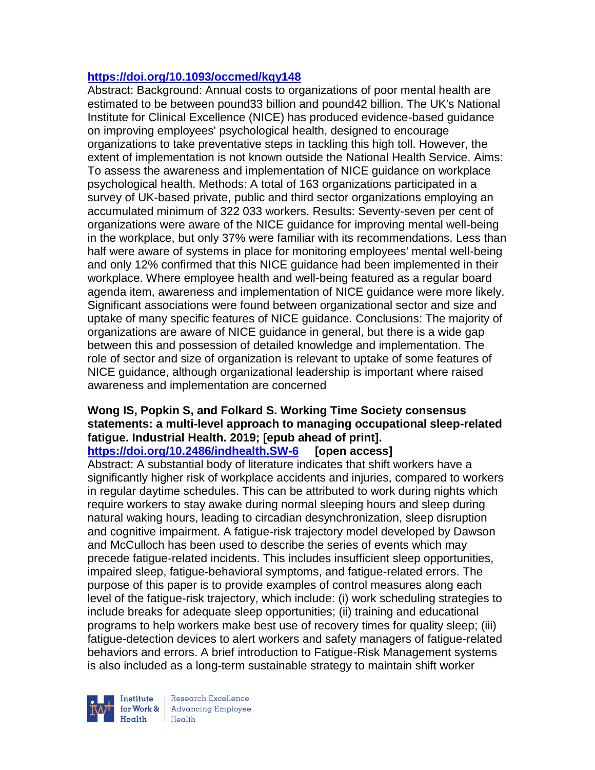### **<https://doi.org/10.1093/occmed/kqy148>**

Abstract: Background: Annual costs to organizations of poor mental health are estimated to be between pound33 billion and pound42 billion. The UK's National Institute for Clinical Excellence (NICE) has produced evidence-based guidance on improving employees' psychological health, designed to encourage organizations to take preventative steps in tackling this high toll. However, the extent of implementation is not known outside the National Health Service. Aims: To assess the awareness and implementation of NICE guidance on workplace psychological health. Methods: A total of 163 organizations participated in a survey of UK-based private, public and third sector organizations employing an accumulated minimum of 322 033 workers. Results: Seventy-seven per cent of organizations were aware of the NICE guidance for improving mental well-being in the workplace, but only 37% were familiar with its recommendations. Less than half were aware of systems in place for monitoring employees' mental well-being and only 12% confirmed that this NICE guidance had been implemented in their workplace. Where employee health and well-being featured as a regular board agenda item, awareness and implementation of NICE guidance were more likely. Significant associations were found between organizational sector and size and uptake of many specific features of NICE guidance. Conclusions: The majority of organizations are aware of NICE guidance in general, but there is a wide gap between this and possession of detailed knowledge and implementation. The role of sector and size of organization is relevant to uptake of some features of NICE guidance, although organizational leadership is important where raised awareness and implementation are concerned

# **Wong IS, Popkin S, and Folkard S. Working Time Society consensus statements: a multi-level approach to managing occupational sleep-related fatigue. Industrial Health. 2019; [epub ahead of print].**

**<https://doi.org/10.2486/indhealth.SW-6> [open access]**

Abstract: A substantial body of literature indicates that shift workers have a significantly higher risk of workplace accidents and injuries, compared to workers in regular daytime schedules. This can be attributed to work during nights which require workers to stay awake during normal sleeping hours and sleep during natural waking hours, leading to circadian desynchronization, sleep disruption and cognitive impairment. A fatigue-risk trajectory model developed by Dawson and McCulloch has been used to describe the series of events which may precede fatigue-related incidents. This includes insufficient sleep opportunities, impaired sleep, fatigue-behavioral symptoms, and fatigue-related errors. The purpose of this paper is to provide examples of control measures along each level of the fatigue-risk trajectory, which include: (i) work scheduling strategies to include breaks for adequate sleep opportunities; (ii) training and educational programs to help workers make best use of recovery times for quality sleep; (iii) fatigue-detection devices to alert workers and safety managers of fatigue-related behaviors and errors. A brief introduction to Fatigue-Risk Management systems is also included as a long-term sustainable strategy to maintain shift worker

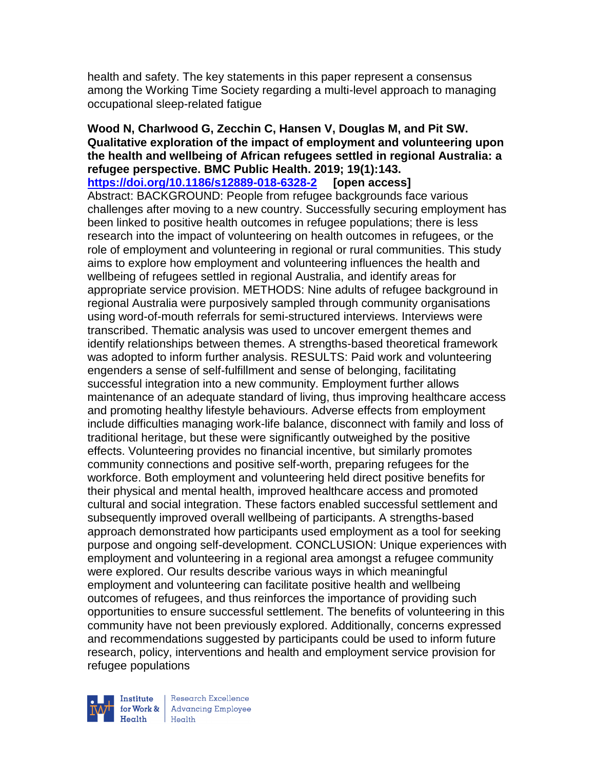health and safety. The key statements in this paper represent a consensus among the Working Time Society regarding a multi-level approach to managing occupational sleep-related fatigue

### **Wood N, Charlwood G, Zecchin C, Hansen V, Douglas M, and Pit SW. Qualitative exploration of the impact of employment and volunteering upon the health and wellbeing of African refugees settled in regional Australia: a refugee perspective. BMC Public Health. 2019; 19(1):143.**

**<https://doi.org/10.1186/s12889-018-6328-2> [open access]** Abstract: BACKGROUND: People from refugee backgrounds face various challenges after moving to a new country. Successfully securing employment has been linked to positive health outcomes in refugee populations; there is less research into the impact of volunteering on health outcomes in refugees, or the role of employment and volunteering in regional or rural communities. This study aims to explore how employment and volunteering influences the health and wellbeing of refugees settled in regional Australia, and identify areas for appropriate service provision. METHODS: Nine adults of refugee background in regional Australia were purposively sampled through community organisations using word-of-mouth referrals for semi-structured interviews. Interviews were transcribed. Thematic analysis was used to uncover emergent themes and identify relationships between themes. A strengths-based theoretical framework was adopted to inform further analysis. RESULTS: Paid work and volunteering engenders a sense of self-fulfillment and sense of belonging, facilitating successful integration into a new community. Employment further allows maintenance of an adequate standard of living, thus improving healthcare access and promoting healthy lifestyle behaviours. Adverse effects from employment include difficulties managing work-life balance, disconnect with family and loss of traditional heritage, but these were significantly outweighed by the positive effects. Volunteering provides no financial incentive, but similarly promotes community connections and positive self-worth, preparing refugees for the workforce. Both employment and volunteering held direct positive benefits for their physical and mental health, improved healthcare access and promoted cultural and social integration. These factors enabled successful settlement and subsequently improved overall wellbeing of participants. A strengths-based approach demonstrated how participants used employment as a tool for seeking purpose and ongoing self-development. CONCLUSION: Unique experiences with employment and volunteering in a regional area amongst a refugee community were explored. Our results describe various ways in which meaningful employment and volunteering can facilitate positive health and wellbeing outcomes of refugees, and thus reinforces the importance of providing such opportunities to ensure successful settlement. The benefits of volunteering in this community have not been previously explored. Additionally, concerns expressed and recommendations suggested by participants could be used to inform future research, policy, interventions and health and employment service provision for refugee populations